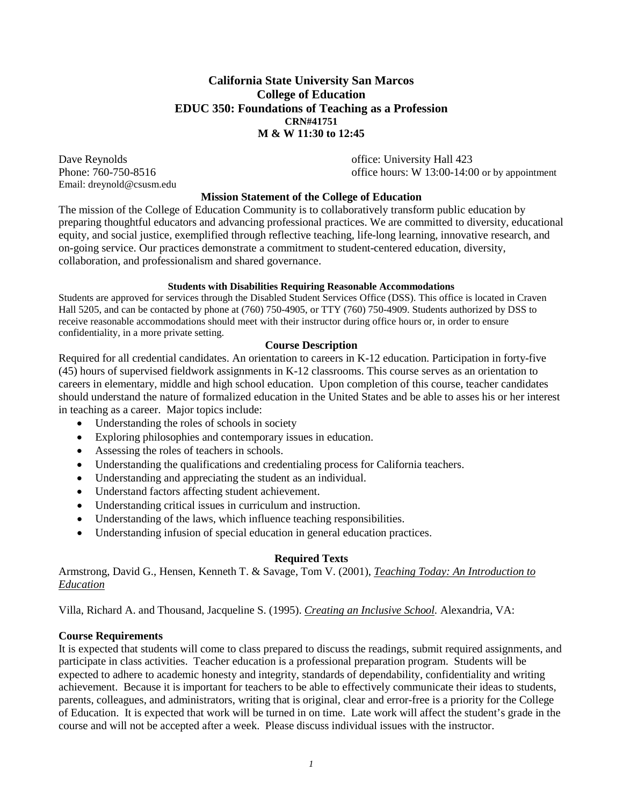# **California State University San Marcos College of Education EDUC 350: Foundations of Teaching as a Profession CRN#41751 M & W 11:30 to 12:45**

Email: dreynold@csusm.edu

Dave Reynolds **Dave Reynolds office**: University Hall 423 Phone: 760-750-8516 **burned office hours: W** 13:00-14:00 or by appointment

#### **Mission Statement of the College of Education**

The mission of the College of Education Community is to collaboratively transform public education by preparing thoughtful educators and advancing professional practices. We are committed to diversity, educational equity, and social justice, exemplified through reflective teaching, life-long learning, innovative research, and on-going service. Our practices demonstrate a commitment to student-centered education, diversity, collaboration, and professionalism and shared governance.

#### **Students with Disabilities Requiring Reasonable Accommodations**

Students are approved for services through the Disabled Student Services Office (DSS). This office is located in Craven Hall 5205, and can be contacted by phone at (760) 750-4905, or TTY (760) 750-4909. Students authorized by DSS to receive reasonable accommodations should meet with their instructor during office hours or, in order to ensure confidentiality, in a more private setting.

### **Course Description**

Required for all credential candidates. An orientation to careers in K-12 education. Participation in forty-five (45) hours of supervised fieldwork assignments in K-12 classrooms. This course serves as an orientation to careers in elementary, middle and high school education. Upon completion of this course, teacher candidates should understand the nature of formalized education in the United States and be able to asses his or her interest in teaching as a career. Major topics include:

- Understanding the roles of schools in society
- Exploring philosophies and contemporary issues in education.
- Assessing the roles of teachers in schools.
- Understanding the qualifications and credentialing process for California teachers.
- Understanding and appreciating the student as an individual.
- Understand factors affecting student achievement.
- Understanding critical issues in curriculum and instruction.
- Understanding of the laws, which influence teaching responsibilities.
- Understanding infusion of special education in general education practices.

### **Required Texts**

Armstrong, David G., Hensen, Kenneth T. & Savage, Tom V. (2001), *Teaching Today: An Introduction to Education*

Villa, Richard A. and Thousand, Jacqueline S. (1995). *Creating an Inclusive School.* Alexandria, VA:

### **Course Requirements**

It is expected that students will come to class prepared to discuss the readings, submit required assignments, and participate in class activities. Teacher education is a professional preparation program. Students will be expected to adhere to academic honesty and integrity, standards of dependability, confidentiality and writing achievement. Because it is important for teachers to be able to effectively communicate their ideas to students, parents, colleagues, and administrators, writing that is original, clear and error-free is a priority for the College of Education. It is expected that work will be turned in on time. Late work will affect the student's grade in the course and will not be accepted after a week. Please discuss individual issues with the instructor.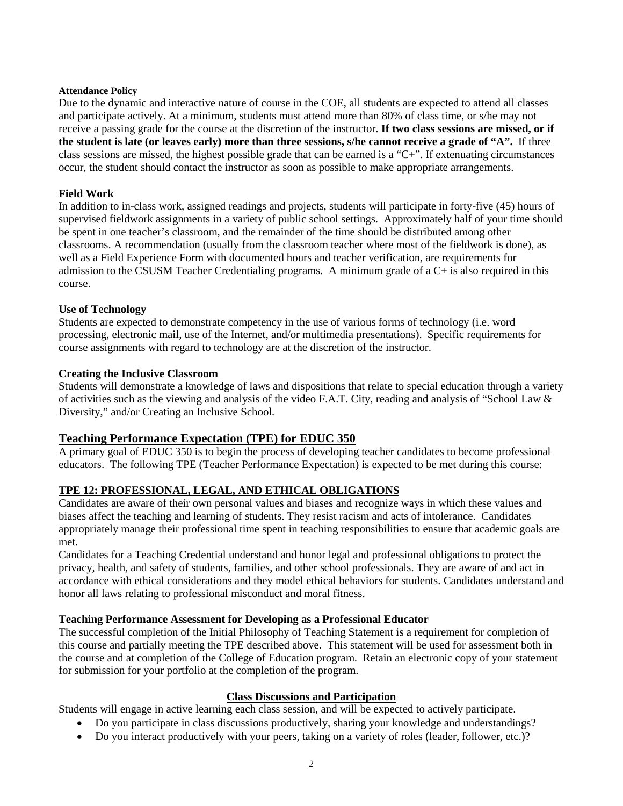#### **Attendance Policy**

Due to the dynamic and interactive nature of course in the COE, all students are expected to attend all classes and participate actively. At a minimum, students must attend more than 80% of class time, or s/he may not receive a passing grade for the course at the discretion of the instructor. **If two class sessions are missed, or if the student is late (or leaves early) more than three sessions, s/he cannot receive a grade of "A".** If three class sessions are missed, the highest possible grade that can be earned is a "C+". If extenuating circumstances occur, the student should contact the instructor as soon as possible to make appropriate arrangements.

### **Field Work**

In addition to in-class work, assigned readings and projects, students will participate in forty-five (45) hours of supervised fieldwork assignments in a variety of public school settings. Approximately half of your time should be spent in one teacher's classroom, and the remainder of the time should be distributed among other classrooms. A recommendation (usually from the classroom teacher where most of the fieldwork is done), as well as a Field Experience Form with documented hours and teacher verification, are requirements for admission to the CSUSM Teacher Credentialing programs. A minimum grade of a C+ is also required in this course.

### **Use of Technology**

Students are expected to demonstrate competency in the use of various forms of technology (i.e. word processing, electronic mail, use of the Internet, and/or multimedia presentations). Specific requirements for course assignments with regard to technology are at the discretion of the instructor.

### **Creating the Inclusive Classroom**

Students will demonstrate a knowledge of laws and dispositions that relate to special education through a variety of activities such as the viewing and analysis of the video F.A.T. City, reading and analysis of "School Law & Diversity," and/or Creating an Inclusive School.

# **Teaching Performance Expectation (TPE) for EDUC 350**

A primary goal of EDUC 350 is to begin the process of developing teacher candidates to become professional educators. The following TPE (Teacher Performance Expectation) is expected to be met during this course:

# **TPE 12: PROFESSIONAL, LEGAL, AND ETHICAL OBLIGATIONS**

Candidates are aware of their own personal values and biases and recognize ways in which these values and biases affect the teaching and learning of students. They resist racism and acts of intolerance. Candidates appropriately manage their professional time spent in teaching responsibilities to ensure that academic goals are met.

Candidates for a Teaching Credential understand and honor legal and professional obligations to protect the privacy, health, and safety of students, families, and other school professionals. They are aware of and act in accordance with ethical considerations and they model ethical behaviors for students. Candidates understand and honor all laws relating to professional misconduct and moral fitness.

### **Teaching Performance Assessment for Developing as a Professional Educator**

The successful completion of the Initial Philosophy of Teaching Statement is a requirement for completion of this course and partially meeting the TPE described above. This statement will be used for assessment both in the course and at completion of the College of Education program. Retain an electronic copy of your statement for submission for your portfolio at the completion of the program.

# **Class Discussions and Participation**

Students will engage in active learning each class session, and will be expected to actively participate.

- Do you participate in class discussions productively, sharing your knowledge and understandings?
- Do you interact productively with your peers, taking on a variety of roles (leader, follower, etc.)?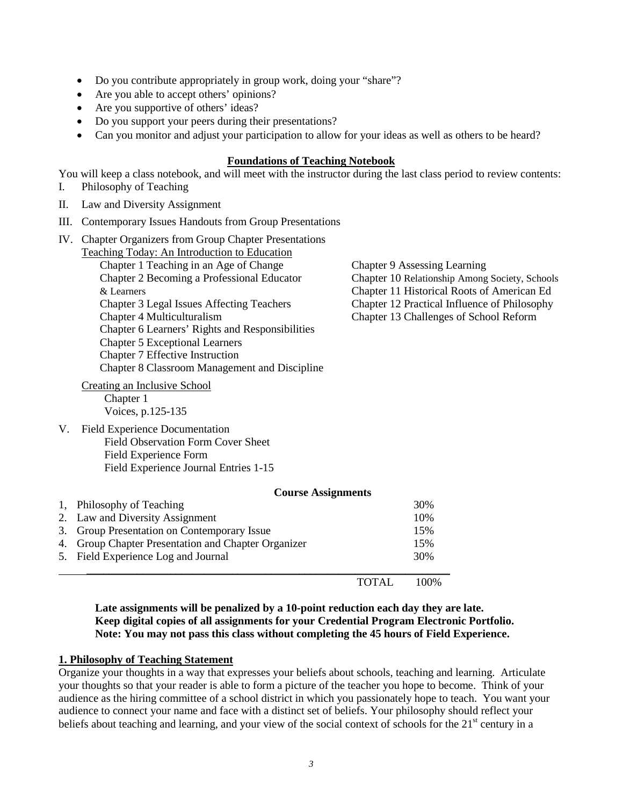- Do you contribute appropriately in group work, doing your "share"?
- Are you able to accept others' opinions?
- Are you supportive of others' ideas?
- Do you support your peers during their presentations?
- Can you monitor and adjust your participation to allow for your ideas as well as others to be heard?

#### **Foundations of Teaching Notebook**

You will keep a class notebook, and will meet with the instructor during the last class period to review contents:

- I. Philosophy of Teaching
- II. Law and Diversity Assignment
- III. Contemporary Issues Handouts from Group Presentations
- IV. Chapter Organizers from Group Chapter Presentations

| Teaching Today: An Introduction to Education |                                                 |                                                |  |  |  |
|----------------------------------------------|-------------------------------------------------|------------------------------------------------|--|--|--|
|                                              | Chapter 1 Teaching in an Age of Change          | <b>Chapter 9 Assessing Learning</b>            |  |  |  |
|                                              | Chapter 2 Becoming a Professional Educator      | Chapter 10 Relationship Among Society, Schools |  |  |  |
|                                              | & Learners                                      | Chapter 11 Historical Roots of American Ed     |  |  |  |
|                                              | Chapter 3 Legal Issues Affecting Teachers       | Chapter 12 Practical Influence of Philosophy   |  |  |  |
|                                              | Chapter 4 Multiculturalism                      | Chapter 13 Challenges of School Reform         |  |  |  |
|                                              | Chapter 6 Learners' Rights and Responsibilities |                                                |  |  |  |
|                                              | <b>Chapter 5 Exceptional Learners</b>           |                                                |  |  |  |
|                                              | Chapter 7 Effective Instruction                 |                                                |  |  |  |
|                                              | Chapter 8 Classroom Management and Discipline   |                                                |  |  |  |
|                                              | Creating an Inclusive School                    |                                                |  |  |  |
|                                              | Chapter 1                                       |                                                |  |  |  |
|                                              | Voices, p.125-135                               |                                                |  |  |  |
| V.                                           | <b>Field Experience Documentation</b>           |                                                |  |  |  |
|                                              | <b>Field Observation Form Cover Sheet</b>       |                                                |  |  |  |
|                                              | Field Experience Form                           |                                                |  |  |  |
|                                              | Field Experience Journal Entries 1-15           |                                                |  |  |  |
|                                              |                                                 |                                                |  |  |  |

| <b>Course Assignments</b>                           |     |  |
|-----------------------------------------------------|-----|--|
| 1, Philosophy of Teaching                           | 30% |  |
| 2. Law and Diversity Assignment                     | 10% |  |
| 3. Group Presentation on Contemporary Issue         | 15% |  |
| 4. Group Chapter Presentation and Chapter Organizer | 15% |  |
| 5. Field Experience Log and Journal                 | 30% |  |
|                                                     |     |  |

TOTAL 100%

**Late assignments will be penalized by a 10-point reduction each day they are late. Keep digital copies of all assignments for your Credential Program Electronic Portfolio. Note: You may not pass this class without completing the 45 hours of Field Experience.**

#### **1. Philosophy of Teaching Statement**

Organize your thoughts in a way that expresses your beliefs about schools, teaching and learning. Articulate your thoughts so that your reader is able to form a picture of the teacher you hope to become. Think of your audience as the hiring committee of a school district in which you passionately hope to teach. You want your audience to connect your name and face with a distinct set of beliefs. Your philosophy should reflect your beliefs about teaching and learning, and your view of the social context of schools for the  $21<sup>st</sup>$  century in a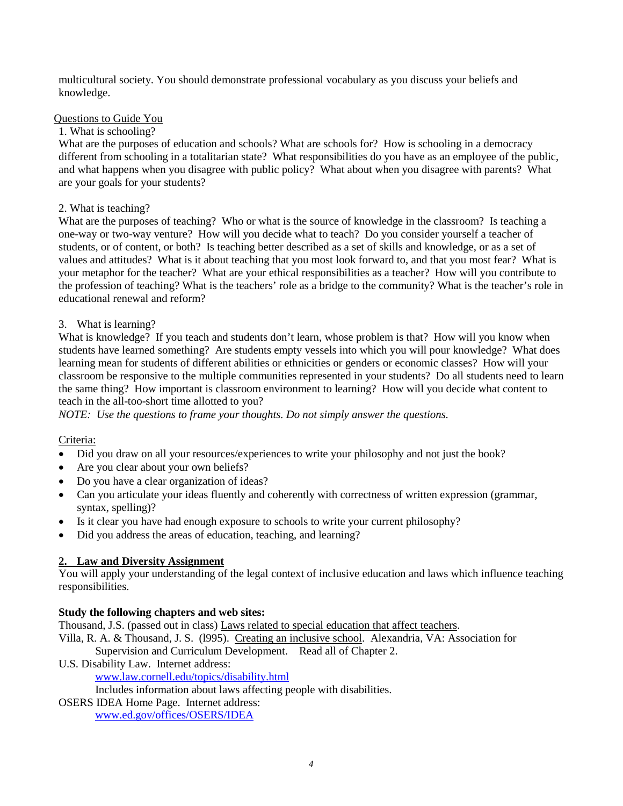multicultural society. You should demonstrate professional vocabulary as you discuss your beliefs and knowledge.

### Questions to Guide You

### 1. What is schooling?

What are the purposes of education and schools? What are schools for? How is schooling in a democracy different from schooling in a totalitarian state? What responsibilities do you have as an employee of the public, and what happens when you disagree with public policy? What about when you disagree with parents? What are your goals for your students?

## 2. What is teaching?

What are the purposes of teaching? Who or what is the source of knowledge in the classroom? Is teaching a one-way or two-way venture? How will you decide what to teach? Do you consider yourself a teacher of students, or of content, or both? Is teaching better described as a set of skills and knowledge, or as a set of values and attitudes? What is it about teaching that you most look forward to, and that you most fear? What is your metaphor for the teacher? What are your ethical responsibilities as a teacher? How will you contribute to the profession of teaching? What is the teachers' role as a bridge to the community? What is the teacher's role in educational renewal and reform?

## 3. What is learning?

What is knowledge? If you teach and students don't learn, whose problem is that? How will you know when students have learned something? Are students empty vessels into which you will pour knowledge? What does learning mean for students of different abilities or ethnicities or genders or economic classes? How will your classroom be responsive to the multiple communities represented in your students? Do all students need to learn the same thing? How important is classroom environment to learning? How will you decide what content to teach in the all-too-short time allotted to you?

*NOTE: Use the questions to frame your thoughts. Do not simply answer the questions.*

# Criteria:

- Did you draw on all your resources/experiences to write your philosophy and not just the book?
- Are you clear about your own beliefs?
- Do you have a clear organization of ideas?
- Can you articulate your ideas fluently and coherently with correctness of written expression (grammar, syntax, spelling)?
- Is it clear you have had enough exposure to schools to write your current philosophy?
- Did you address the areas of education, teaching, and learning?

# **2. Law and Diversity Assignment**

You will apply your understanding of the legal context of inclusive education and laws which influence teaching responsibilities.

### **Study the following chapters and web sites:**

Thousand, J.S. (passed out in class) Laws related to special education that affect teachers.

- Villa, R. A. & Thousand, J. S. (l995). Creating an inclusive school. Alexandria, VA: Association for Supervision and Curriculum Development. Read all of Chapter 2.
- U.S. Disability Law. Internet address:

www.law.cornell.edu/topics/disability.html

Includes information about laws affecting people with disabilities.

OSERS IDEA Home Page. Internet address:

www.ed.gov/offices/OSERS/IDEA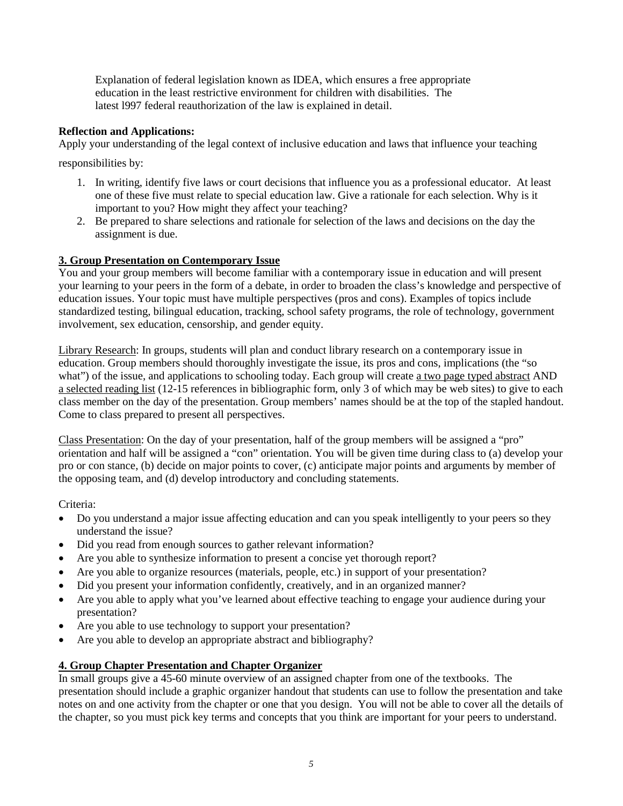Explanation of federal legislation known as IDEA, which ensures a free appropriate education in the least restrictive environment for children with disabilities. The latest l997 federal reauthorization of the law is explained in detail.

# **Reflection and Applications:**

Apply your understanding of the legal context of inclusive education and laws that influence your teaching

responsibilities by:

- 1. In writing, identify five laws or court decisions that influence you as a professional educator. At least one of these five must relate to special education law. Give a rationale for each selection. Why is it important to you? How might they affect your teaching?
- 2. Be prepared to share selections and rationale for selection of the laws and decisions on the day the assignment is due.

# **3. Group Presentation on Contemporary Issue**

You and your group members will become familiar with a contemporary issue in education and will present your learning to your peers in the form of a debate, in order to broaden the class's knowledge and perspective of education issues. Your topic must have multiple perspectives (pros and cons). Examples of topics include standardized testing, bilingual education, tracking, school safety programs, the role of technology, government involvement, sex education, censorship, and gender equity.

Library Research: In groups, students will plan and conduct library research on a contemporary issue in education. Group members should thoroughly investigate the issue, its pros and cons, implications (the "so what") of the issue, and applications to schooling today. Each group will create a two page typed abstract AND a selected reading list (12-15 references in bibliographic form, only 3 of which may be web sites) to give to each class member on the day of the presentation. Group members' names should be at the top of the stapled handout. Come to class prepared to present all perspectives.

Class Presentation: On the day of your presentation, half of the group members will be assigned a "pro" orientation and half will be assigned a "con" orientation. You will be given time during class to (a) develop your pro or con stance, (b) decide on major points to cover, (c) anticipate major points and arguments by member of the opposing team, and (d) develop introductory and concluding statements.

Criteria:

- Do you understand a major issue affecting education and can you speak intelligently to your peers so they understand the issue?
- Did you read from enough sources to gather relevant information?
- Are you able to synthesize information to present a concise yet thorough report?
- Are you able to organize resources (materials, people, etc.) in support of your presentation?
- Did you present your information confidently, creatively, and in an organized manner?
- Are you able to apply what you've learned about effective teaching to engage your audience during your presentation?
- Are you able to use technology to support your presentation?
- Are you able to develop an appropriate abstract and bibliography?

# **4. Group Chapter Presentation and Chapter Organizer**

In small groups give a 45-60 minute overview of an assigned chapter from one of the textbooks. The presentation should include a graphic organizer handout that students can use to follow the presentation and take notes on and one activity from the chapter or one that you design. You will not be able to cover all the details of the chapter, so you must pick key terms and concepts that you think are important for your peers to understand.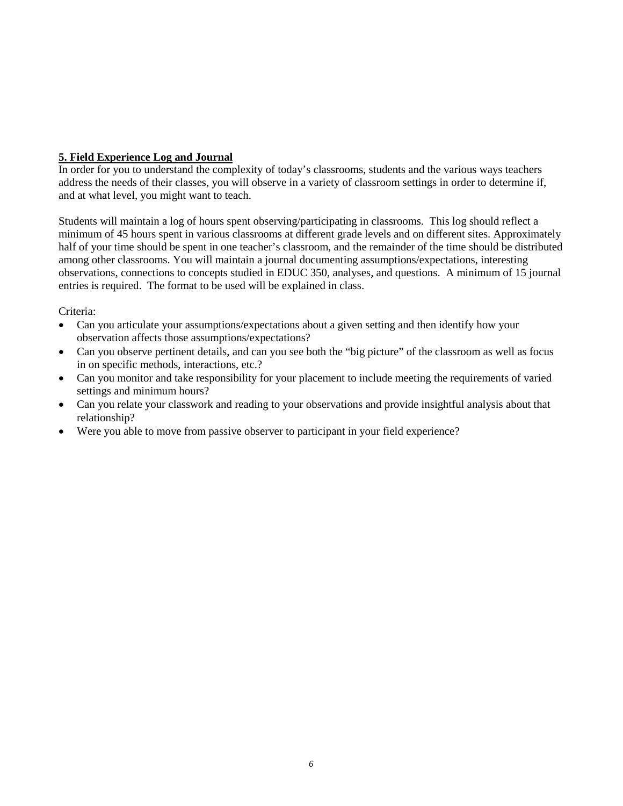## **5. Field Experience Log and Journal**

In order for you to understand the complexity of today's classrooms, students and the various ways teachers address the needs of their classes, you will observe in a variety of classroom settings in order to determine if, and at what level, you might want to teach.

Students will maintain a log of hours spent observing/participating in classrooms. This log should reflect a minimum of 45 hours spent in various classrooms at different grade levels and on different sites. Approximately half of your time should be spent in one teacher's classroom, and the remainder of the time should be distributed among other classrooms. You will maintain a journal documenting assumptions/expectations, interesting observations, connections to concepts studied in EDUC 350, analyses, and questions. A minimum of 15 journal entries is required. The format to be used will be explained in class.

### Criteria:

- Can you articulate your assumptions/expectations about a given setting and then identify how your observation affects those assumptions/expectations?
- Can you observe pertinent details, and can you see both the "big picture" of the classroom as well as focus in on specific methods, interactions, etc.?
- Can you monitor and take responsibility for your placement to include meeting the requirements of varied settings and minimum hours?
- Can you relate your classwork and reading to your observations and provide insightful analysis about that relationship?
- Were you able to move from passive observer to participant in your field experience?